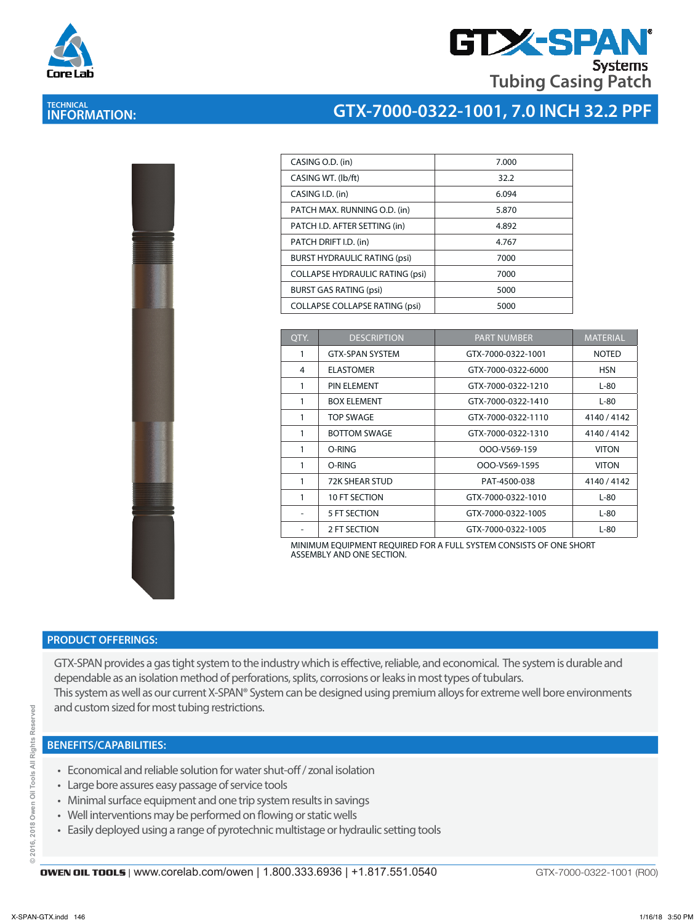

# **GTX-SPA Systems Tubing Casing Patch**

# **TECHNICAL INFORMATION:**

### **GTX-7000-0322-1001, 7.0 INCH 32.2 PPF**

| I<br>I<br>ř |  |  |
|-------------|--|--|
|             |  |  |
|             |  |  |
|             |  |  |
|             |  |  |
|             |  |  |

| CASING O.D. (in)                       | 7.000 |
|----------------------------------------|-------|
| CASING WT. (lb/ft)                     | 32.2  |
| CASING I.D. (in)                       | 6.094 |
| PATCH MAX. RUNNING O.D. (in)           | 5.870 |
| PATCH I.D. AFTER SETTING (in)          | 4.892 |
| PATCH DRIFT I.D. (in)                  | 4.767 |
| <b>BURST HYDRAULIC RATING (psi)</b>    | 7000  |
| <b>COLLAPSE HYDRAULIC RATING (psi)</b> | 7000  |
| <b>BURST GAS RATING (psi)</b>          | 5000  |
| <b>COLLAPSE COLLAPSE RATING (psi)</b>  | 5000  |

| OTY. | <b>DESCRIPTION</b>     | <b>PART NUMBER</b> | <b>MATERIAL</b> |
|------|------------------------|--------------------|-----------------|
| 1    | <b>GTX-SPAN SYSTEM</b> | GTX-7000-0322-1001 | <b>NOTED</b>    |
| 4    | <b>ELASTOMER</b>       | GTX-7000-0322-6000 | <b>HSN</b>      |
| 1    | PIN ELEMENT            | GTX-7000-0322-1210 | $L-80$          |
| 1    | <b>BOX ELEMENT</b>     | GTX-7000-0322-1410 | L-80            |
| 1    | TOP SWAGE              | GTX-7000-0322-1110 | 4140/4142       |
| 1    | <b>BOTTOM SWAGE</b>    | GTX-7000-0322-1310 | 4140/4142       |
| 1    | O-RING                 | OOO-V569-159       | <b>VITON</b>    |
| 1    | O-RING                 | OOO-V569-1595      | <b>VITON</b>    |
| 1    | <b>72K SHEAR STUD</b>  | PAT-4500-038       | 4140/4142       |
| 1    | 10 FT SECTION          | GTX-7000-0322-1010 | $L-80$          |
|      | 5 FT SECTION           | GTX-7000-0322-1005 | $L-80$          |
|      | 2 FT SECTION           | GTX-7000-0322-1005 | $L-80$          |

MINIMUM EQUIPMENT REQUIRED FOR A FULL SYSTEM CONSISTS OF ONE SHORT ASSEMBLY AND ONE SECTION.

#### **PRODUCT OFFERINGS:**

GTX-SPAN provides a gas tight system to the industry which is effective, reliable, and economical. The system is durable and dependable as an isolation method of perforations, splits, corrosions or leaks in most types of tubulars. This system as well as our current X-SPAN® System can be designed using premium alloys for extreme well bore environments and custom sized for most tubing restrictions.

#### **BENEFITS/CAPABILITIES:**

- Economical and reliable solution for water shut-off / zonal isolation
- Large bore assures easy passage of service tools
- Minimal surface equipment and one trip system results in savings
- Well interventions may be performed on flowing or static wells
- Easily deployed using a range of pyrotechnic multistage or hydraulic setting tools

GTX-7000-0322-1001 (R00)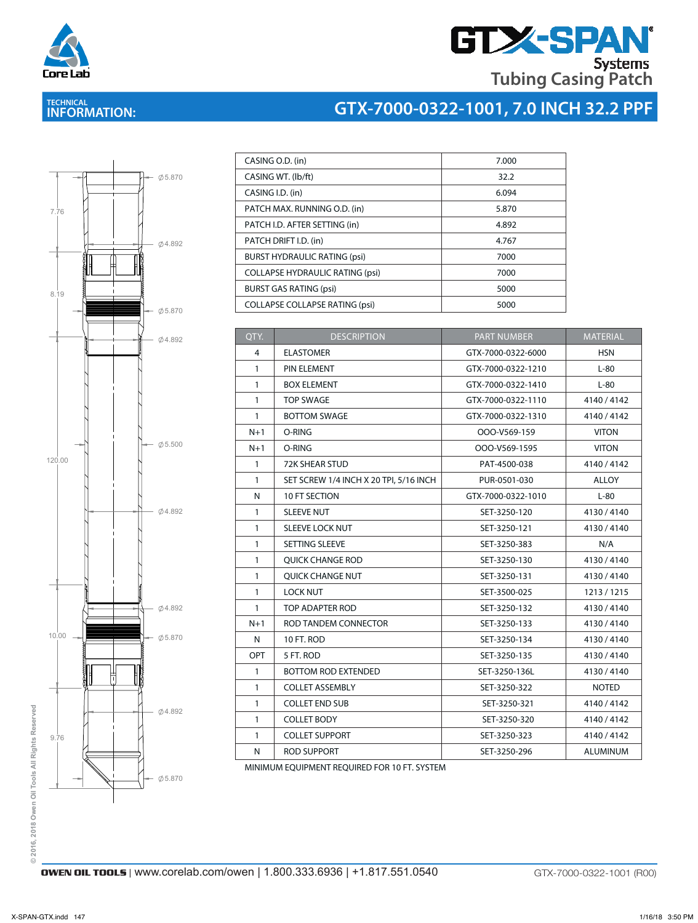

# **GTX-SPAN Tubing Casing Patch**

## **TECHNICAL INFORMATION:**

# <sup>C</sup> **GTX-7000-0322-1001, 7.0 INCH 32.2 PPF**



| CASING O.D. (in)                       | 7.000 |
|----------------------------------------|-------|
| CASING WT. (Ib/ft)                     | 32.2  |
| CASING I.D. (in)                       | 6.094 |
| PATCH MAX. RUNNING O.D. (in)           | 5.870 |
| PATCH I.D. AFTER SETTING (in)          | 4.892 |
| PATCH DRIFT I.D. (in)                  | 4.767 |
| <b>BURST HYDRAULIC RATING (psi)</b>    | 7000  |
| <b>COLLAPSE HYDRAULIC RATING (psi)</b> | 7000  |
| <b>BURST GAS RATING (psi)</b>          | 5000  |
| <b>COLLAPSE COLLAPSE RATING (psi)</b>  | 5000  |

|           | 04.892            | QTY.         | <b>DESCRIPTION</b>                     | <b>PART NUMBER</b> | <b>MATERIAL</b> |
|-----------|-------------------|--------------|----------------------------------------|--------------------|-----------------|
|           |                   | 4            | <b>ELASTOMER</b>                       | GTX-7000-0322-6000 | <b>HSN</b>      |
|           |                   | $\mathbf{1}$ | PIN ELEMENT                            | GTX-7000-0322-1210 | $L-80$          |
|           |                   | $\mathbf{1}$ | <b>BOX ELEMENT</b>                     | GTX-7000-0322-1410 | $L-80$          |
|           |                   | $\mathbf{1}$ | <b>TOP SWAGE</b>                       | GTX-7000-0322-1110 | 4140/4142       |
|           |                   | $\mathbf{1}$ | <b>BOTTOM SWAGE</b>                    | GTX-7000-0322-1310 | 4140/4142       |
|           |                   | $N+1$        | O-RING                                 | OOO-V569-159       | <b>VITON</b>    |
|           | $- 0.500$         | $N+1$        | O-RING                                 | OOO-V569-1595      | <b>VITON</b>    |
| 120.00    |                   | $\mathbf{1}$ | 72K SHEAR STUD                         | PAT-4500-038       | 4140 / 4142     |
|           |                   | $\mathbf{1}$ | SET SCREW 1/4 INCH X 20 TPI, 5/16 INCH | PUR-0501-030       | <b>ALLOY</b>    |
|           |                   | N            | 10 FT SECTION                          | GTX-7000-0322-1010 | $L-80$          |
|           | 04.892            | $\mathbf{1}$ | <b>SLEEVE NUT</b>                      | SET-3250-120       | 4130/4140       |
|           |                   | $\mathbf{1}$ | SLEEVE LOCK NUT                        | SET-3250-121       | 4130/4140       |
|           |                   | $\mathbf{1}$ | SETTING SLEEVE                         | SET-3250-383       | N/A             |
|           |                   | $\mathbf{1}$ | <b>QUICK CHANGE ROD</b>                | SET-3250-130       | 4130/4140       |
|           |                   | $\mathbf{1}$ | QUICK CHANGE NUT                       | SET-3250-131       | 4130/4140       |
|           |                   | $\mathbf{1}$ | <b>LOCK NUT</b>                        | SET-3500-025       | 1213/1215       |
|           | 04.892            | $\mathbf{1}$ | TOP ADAPTER ROD                        | SET-3250-132       | 4130/4140       |
|           |                   | $N+1$        | ROD TANDEM CONNECTOR                   | SET-3250-133       | 4130/4140       |
| $10.00 -$ | $\emptyset$ 5.870 | N            | 10 FT. ROD                             | SET-3250-134       | 4130/4140       |
|           |                   | OPT          | 5 FT. ROD                              | SET-3250-135       | 4130/4140       |
|           |                   | $\mathbf{1}$ | <b>BOTTOM ROD EXTENDED</b>             | SET-3250-136L      | 4130/4140       |
|           |                   | $\mathbf{1}$ | <b>COLLET ASSEMBLY</b>                 | SET-3250-322       | <b>NOTED</b>    |
|           | 04.892            | $\mathbf{1}$ | <b>COLLET END SUB</b>                  | SET-3250-321       | 4140 / 4142     |
|           |                   | $\mathbf{1}$ | <b>COLLET BODY</b>                     | SET-3250-320       | 4140/4142       |
| 9.76      |                   | $\mathbf{1}$ | <b>COLLET SUPPORT</b>                  | SET-3250-323       | 4140/4142       |
|           |                   | N            | <b>ROD SUPPORT</b>                     | SET-3250-296       | <b>ALUMINUM</b> |

MINIMUM EQUIPMENT REQUIRED FOR 10 FT. SYSTEM

© 2016, 2018 Owen Oil Tools All Rights Reserved **© 2016, 2018 Owen Oil Tools All Rights Reserved**